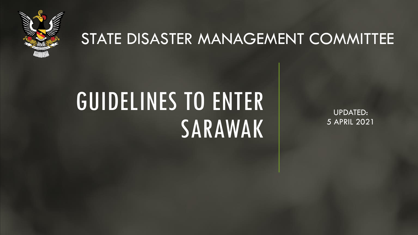

#### STATE DISASTER MANAGEMENT COMMITTEE

# GUIDELINES TO ENTER SARAWAK

UPDATED: 5 APRIL 2021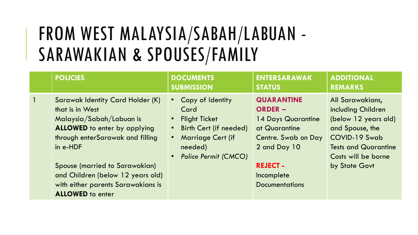# FROM WEST MALAYSIA/SABAH/LABUAN - SARAWAKIAN & SPOUSES/FAMILY

|   | <b>POLICIES</b>                                                                                                                                                                                                                                                                                                | <b>DOCUMENTS</b><br><b>SUBMISSION</b>                                                                                                                    | <b>ENTERSARAWAK</b><br><b>STATUS</b>                                                                                                                                        | <b>ADDITIONAL</b><br><b>REMARKS</b>                                                                                                                                       |
|---|----------------------------------------------------------------------------------------------------------------------------------------------------------------------------------------------------------------------------------------------------------------------------------------------------------------|----------------------------------------------------------------------------------------------------------------------------------------------------------|-----------------------------------------------------------------------------------------------------------------------------------------------------------------------------|---------------------------------------------------------------------------------------------------------------------------------------------------------------------------|
| 1 | Sarawak Identity Card Holder (K)<br>that is in West<br>Malaysia/Sabah/Labuan is<br><b>ALLOWED</b> to enter by applying<br>through enterSarawak and filling<br>in e-HDF<br>Spouse (married to Sarawakian)<br>and Children (below 12 years old)<br>with either parents Sarawakians is<br><b>ALLOWED</b> to enter | Copy of Identity<br>$\bullet$ .<br>Card<br><b>Flight Ticket</b><br>Birth Cert (if needed)<br><b>Marriage Cert (if</b><br>needed)<br>Police Permit (CMCO) | <b>QUARANTINE</b><br><b>ORDER -</b><br>14 Days Quarantine<br>at Quarantine<br>Centre. Swab on Day<br>2 and Day 10<br><b>REJECT -</b><br>Incomplete<br><b>Documentations</b> | All Sarawakians,<br>including Children<br>(below 12 years old)<br>and Spouse, the<br>COVID-19 Swab<br><b>Tests and Quarantine</b><br>Costs will be borne<br>by State Govt |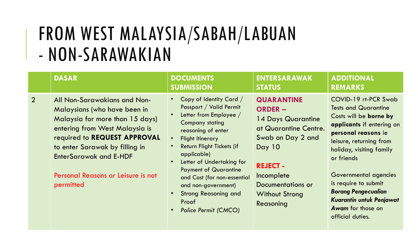# FROM WEST MALAYSIA/SABAH/LABUAN - NON-SARAWAKIAN

|                | <b>DASAR</b>                                                                                                                                                                                                                                                                            | <b>DOCUMENTS</b><br><b>SUBMISSION</b>                                                                                                                                                                                                                                                                                                                                                                                                                                       | <b>ENTERSARAWAK</b><br><b>STATUS</b>                                                                                                                                                                                 | <b>ADDITIONAL</b><br><b>REMARKS</b>                                                                                                                                                                                                                                                                                                                                             |
|----------------|-----------------------------------------------------------------------------------------------------------------------------------------------------------------------------------------------------------------------------------------------------------------------------------------|-----------------------------------------------------------------------------------------------------------------------------------------------------------------------------------------------------------------------------------------------------------------------------------------------------------------------------------------------------------------------------------------------------------------------------------------------------------------------------|----------------------------------------------------------------------------------------------------------------------------------------------------------------------------------------------------------------------|---------------------------------------------------------------------------------------------------------------------------------------------------------------------------------------------------------------------------------------------------------------------------------------------------------------------------------------------------------------------------------|
| $\overline{2}$ | All Non-Sarawakians and Non-<br>Malaysians (who have been in<br>Malaysia for more than 15 days)<br>entering from West Malaysia is<br>required to REQUEST APPROVAL<br>to enter Sarawak by filling in<br><b>EnterSarawak and E-HDF</b><br>Personal Reasons or Leisure is not<br>permitted | Copy of Identity Card /<br>$\bullet$<br>Passport / Valid Permit<br>Letter from Employee /<br><b>Company stating</b><br>reasoning of enter<br><b>Flight Itinerary</b><br>$\bullet$<br>Return Flight Tickets (if<br>$\bullet$<br>applicable)<br>Letter of Undertaking for<br>$\bullet$<br><b>Payment of Quarantine</b><br>and Cost (for non-essential<br>and non-government)<br><b>Strong Reasoning and</b><br>$\bullet$<br>Proof<br><b>Police Permit (CMCO)</b><br>$\bullet$ | <b>QUARANTINE</b><br><b>ORDER -</b><br>14 Days Quarantine<br>at Quarantine Centre.<br>Swab on Day 2 and<br><b>Day 10</b><br><b>REJECT -</b><br>Incomplete<br>Documentations or<br><b>Without Strong</b><br>Reasoning | COVID-19 rt-PCR Swab<br><b>Tests and Quarantine</b><br>Costs will be <b>borne by</b><br>applicants if entering on<br>personal reasons ie<br>leisure, returning from<br>holiday, visiting family<br>or friends<br>Governmental agencies<br>is require to submit<br><b>Borang Pengecualian</b><br><b>Kuarantin untuk Penjawat</b><br><b>Awam</b> for those on<br>official duties. |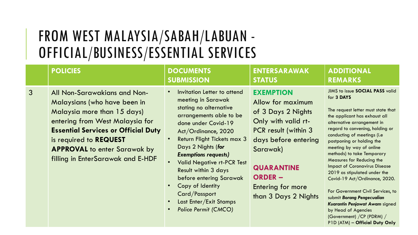#### FROM WEST MALAYSIA/SABAH/LABUAN - OFFICIAL/BUSINESS/ESSENTIAL SERVICES

|              | <b>POLICIES</b>                                                                                                                                                                                                                                                                    | <b>DOCUMENTS</b><br><b>SUBMISSION</b>                                                                                                                                                                                                                                                                                                                                                                                                 | <b>ENTERSARAWAK</b><br><b>STATUS</b>                                                                                                                                                                                               | <b>ADDITIONAL</b><br><b>REMARKS</b>                                                                                                                                                                                                                                                                                                                                                                                                                                                                                                                                                                                                           |
|--------------|------------------------------------------------------------------------------------------------------------------------------------------------------------------------------------------------------------------------------------------------------------------------------------|---------------------------------------------------------------------------------------------------------------------------------------------------------------------------------------------------------------------------------------------------------------------------------------------------------------------------------------------------------------------------------------------------------------------------------------|------------------------------------------------------------------------------------------------------------------------------------------------------------------------------------------------------------------------------------|-----------------------------------------------------------------------------------------------------------------------------------------------------------------------------------------------------------------------------------------------------------------------------------------------------------------------------------------------------------------------------------------------------------------------------------------------------------------------------------------------------------------------------------------------------------------------------------------------------------------------------------------------|
| $\mathbf{3}$ | All Non-Sarawakians and Non-<br>Malaysians (who have been in<br>Malaysia more than 15 days)<br>entering from West Malaysia for<br><b>Essential Services or Official Duty</b><br>is required to REQUEST<br><b>APPROVAL</b> to enter Sarawak by<br>filling in EnterSarawak and E-HDF | Invitation Letter to attend<br>meeting in Sarawak<br>stating no alternative<br>arrangements able to be<br>done under Covid-19<br>Act/Ordinance, 2020<br><b>Return Flight Tickets max 3</b><br>Days 2 Nights (for<br><b>Exemptions requests)</b><br><b>Valid Negative rt-PCR Test</b><br><b>Result within 3 days</b><br>before entering Sarawak<br>Copy of Identity<br>Card/Passport<br>Last Enter/Exit Stamps<br>Police Permit (CMCO) | <b>EXEMPTION</b><br>Allow for maximum<br>of 3 Days 2 Nights<br>Only with valid rt-<br>PCR result (within 3<br>days before entering<br>Sarawak)<br><b>QUARANTINE</b><br><b>ORDER -</b><br>Entering for more<br>than 3 Days 2 Nights | JIMS to issue SOCIAL PASS valid<br>for 3 DAYS<br>The request letter must state that<br>the applicant has exhaust all<br>alternative arrangement in<br>regard to convening, holding or<br>conducting of meetings (i.e<br>postponing or holding the<br>meeting by way of online<br>methods) to take Temporary<br>Measures for Reducing the<br><b>Impact of Coronavirus Disease</b><br>2019 as stipulated under the<br>Covid-19 Act/Ordinance, 2020.<br>For Government Civil Services, to<br>submit Borang Pengecualian<br>Kuarantin Penjawat Awam signed<br>by Head of Agencies<br>(Government) / CP (PDRM) /<br>P1D (ATM) - Official Duty Only |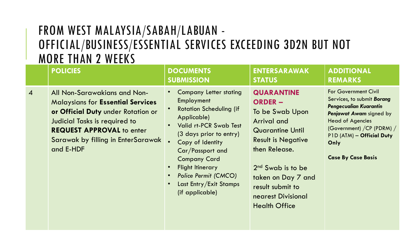#### FROM WEST MALAYSIA/SABAH/LABUAN - OFFICIAL/BUSINESS/ESSENTIAL SERVICES EXCEEDING 3D2N BUT NOT MORE THAN 2 WEEKS

|                | <b>POLICIES</b>                                                                                                                                                                                                                        | <b>DOCUMENTS</b><br><b>SUBMISSION</b>                                                                                                                                                                                                                                                                                                                                                    | <b>ENTERSARAWAK</b><br><b>STATUS</b>                                                                                                                                                                                                                                           | <b>ADDITIONAL</b><br><b>REMARKS</b>                                                                                                                                                                                                       |
|----------------|----------------------------------------------------------------------------------------------------------------------------------------------------------------------------------------------------------------------------------------|------------------------------------------------------------------------------------------------------------------------------------------------------------------------------------------------------------------------------------------------------------------------------------------------------------------------------------------------------------------------------------------|--------------------------------------------------------------------------------------------------------------------------------------------------------------------------------------------------------------------------------------------------------------------------------|-------------------------------------------------------------------------------------------------------------------------------------------------------------------------------------------------------------------------------------------|
| $\overline{4}$ | All Non-Sarawakians and Non-<br><b>Malaysians for Essential Services</b><br>or Official Duty under Rotation or<br>Judicial Tasks is required to<br><b>REQUEST APPROVAL to enter</b><br>Sarawak by filling in EnterSarawak<br>and E-HDF | <b>Company Letter stating</b><br>Employment<br><b>Rotation Scheduling (if</b><br>$\bullet$<br>Applicable)<br><b>Valid rt-PCR Swab Test</b><br>$\bullet$<br>(3 days prior to entry)<br>Copy of Identity<br>Car/Passport and<br><b>Company Card</b><br><b>Flight Itinerary</b><br>$\bullet$<br>Police Permit (CMCO)<br>$\bullet$<br>Last Entry/Exit Stamps<br>$\bullet$<br>(if applicable) | <b>QUARANTINE</b><br><b>ORDER –</b><br>To be Swab Upon<br><b>Arrival and</b><br><b>Quarantine Until</b><br><b>Result is Negative</b><br>then Release.<br>2 <sup>nd</sup> Swab is to be<br>taken on Day 7 and<br>result submit to<br>nearest Divisional<br><b>Health Office</b> | <b>For Government Civil</b><br>Services, to submit Borang<br>Pengecualian Kuarantin<br>Penjawat Awam signed by<br><b>Head of Agencies</b><br>(Government) / CP (PDRM) /<br>P1D (ATM) - Official Duty<br>Only<br><b>Case By Case Basis</b> |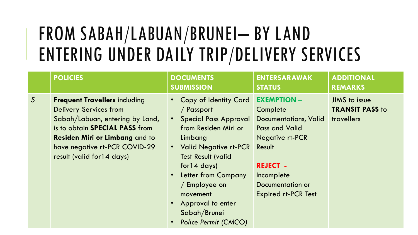# FROM SABAH/LABUAN/BRUNEI– BY LAND ENTERING UNDER DAILY TRIP/DELIVERY SERVICES

|                 | <b>POLICIES</b>                                                                                                                                                                                                                                    | <b>DOCUMENTS</b><br><b>SUBMISSION</b>                                                                                                                                                                                                                                                                                   | <b>ENTERSARAWAK</b><br><b>STATUS</b>                                                                                                                                                                                  | <b>ADDITIONAL</b><br><b>REMARKS</b>                   |
|-----------------|----------------------------------------------------------------------------------------------------------------------------------------------------------------------------------------------------------------------------------------------------|-------------------------------------------------------------------------------------------------------------------------------------------------------------------------------------------------------------------------------------------------------------------------------------------------------------------------|-----------------------------------------------------------------------------------------------------------------------------------------------------------------------------------------------------------------------|-------------------------------------------------------|
| $5\overline{)}$ | <b>Frequent Travellers including</b><br><b>Delivery Services from</b><br>Sabah/Labuan, entering by Land,<br>is to obtain SPECIAL PASS from<br><b>Residen Miri or Limbang and to</b><br>have negative rt-PCR COVID-29<br>result (valid for 14 days) | Copy of Identity Card<br>/ Passport<br><b>Special Pass Approval</b><br>$\bullet$<br>from Residen Miri or<br>Limbang<br><b>Valid Negative rt-PCR</b><br><b>Test Result (valid</b><br>for 14 days<br>Letter from Company<br>/ Employee on<br>movement<br>Approval to enter<br>Sabah/Brunei<br><b>Police Permit (CMCO)</b> | <b>EXEMPTION -</b><br>Complete<br><b>Documentations, Valid</b><br><b>Pass and Valid</b><br><b>Negative rt-PCR</b><br>Result<br><b>REJECT -</b><br>Incomplete<br><b>Documentation or</b><br><b>Expired rt-PCR Test</b> | JIMS to issue<br><b>TRANSIT PASS to</b><br>travellers |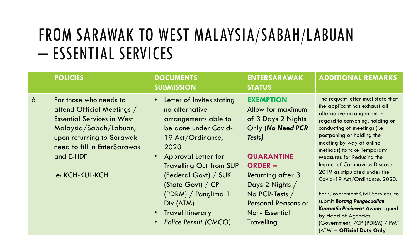### FROM SARAWAK TO WEST MALAYSIA/SABAH/LABUAN – ESSENTIAL SERVICES

|   | <b>POLICIES</b>                                                                                                                                                                                                  | <b>DOCUMENTS</b><br><b>SUBMISSION</b>                                                                                                                                                                                                                                                                                                                           | <b>ENTERSARAWAK</b><br><b>STATUS</b>                                                                                                                                                                                                                                     | <b>ADDITIONAL REMARKS</b>                                                                                                                                                                                                                                                                                                                                                                                                                                                                                                                                             |
|---|------------------------------------------------------------------------------------------------------------------------------------------------------------------------------------------------------------------|-----------------------------------------------------------------------------------------------------------------------------------------------------------------------------------------------------------------------------------------------------------------------------------------------------------------------------------------------------------------|--------------------------------------------------------------------------------------------------------------------------------------------------------------------------------------------------------------------------------------------------------------------------|-----------------------------------------------------------------------------------------------------------------------------------------------------------------------------------------------------------------------------------------------------------------------------------------------------------------------------------------------------------------------------------------------------------------------------------------------------------------------------------------------------------------------------------------------------------------------|
| 6 | For those who needs to<br>attend Official Meetings /<br><b>Essential Services in West</b><br>Malaysia/Sabah/Labuan,<br>upon returning to Sarawak<br>need to fill in EnterSarawak<br>and E-HDF<br>ie: KCH-KUL-KCH | • Letter of Invites stating<br>no alternative<br>arrangements able to<br>be done under Covid-<br>19 Act/Ordinance,<br>2020<br><b>Approval Letter for</b><br>$\bullet$<br><b>Travelling Out from SUP</b><br>(Federal Govt) / SUK<br>(State Govt) / CP<br>(PDRM) / Panglima 1<br>Div (ATM)<br><b>Travel Itinerary</b><br>$\bullet$<br><b>Police Permit (CMCO)</b> | <b>EXEMPTION</b><br>Allow for maximum<br>of 3 Days 2 Nights<br>Only (No Need PCR<br>Tests)<br><b>QUARANTINE</b><br><b>ORDER -</b><br><b>Returning after 3</b><br>Days 2 Nights /<br>No PCR-Tests $/$<br><b>Personal Reasons or</b><br>Non-Essential<br><b>Travelling</b> | The request letter must state that<br>the applicant has exhaust all<br>alternative arrangement in<br>regard to convening, holding or<br>conducting of meetings (i.e<br>postponing or holding the<br>meeting by way of online<br>methods) to take Temporary<br><b>Measures for Reducing the</b><br><b>Impact of Coronavirus Disease</b><br>2019 as stipulated under the<br>Covid-19 Act/Ordinance, 2020.<br>For Government Civil Services, to<br>submit Borang Pengecualian<br>Kuarantin Penjawat Awam signed<br>by Head of Agencies<br>(Government) / CP (PDRM) / PMT |

(ATM) – **Official Duty Only**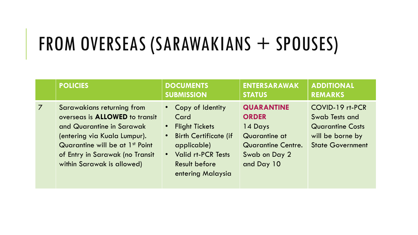# FROM OVERSEAS (SARAWAKIANS + SPOUSES)

|                | <b>POLICIES</b>                                                                                                                                                                                                                                  | <b>DOCUMENTS</b><br><b>SUBMISSION</b>                                                                                                                                      | <b>ENTERSARAWAK</b><br><b>STATUS</b>                                                                               | <b>ADDITIONAL</b><br><b>REMARKS</b>                                                                         |
|----------------|--------------------------------------------------------------------------------------------------------------------------------------------------------------------------------------------------------------------------------------------------|----------------------------------------------------------------------------------------------------------------------------------------------------------------------------|--------------------------------------------------------------------------------------------------------------------|-------------------------------------------------------------------------------------------------------------|
| $\overline{7}$ | Sarawakians returning from<br>overseas is <b>ALLOWED</b> to transit<br>and Quarantine in Sarawak<br>(entering via Kuala Lumpur).<br>Quarantine will be at 1 <sup>st</sup> Point<br>of Entry in Sarawak (no Transit<br>within Sarawak is allowed) | Copy of Identity<br>Card<br><b>Flight Tickets</b><br><b>Birth Certificate (if</b><br>applicable)<br><b>Valid rt-PCR Tests</b><br><b>Result before</b><br>entering Malaysia | <b>QUARANTINE</b><br><b>ORDER</b><br>14 Days<br>Quarantine at<br>Quarantine Centre.<br>Swab on Day 2<br>and Day 10 | COVID-19 rt-PCR<br>Swab Tests and<br><b>Quarantine Costs</b><br>will be borne by<br><b>State Government</b> |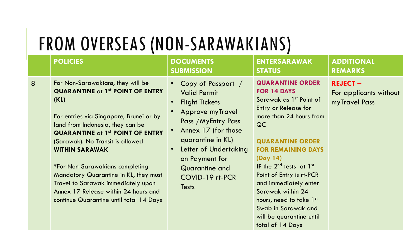### FROM OVERSEAS (NON-SARAWAKIANS)

|   | <b>POLICIES</b>                                                                                                                                                                                                                                                                                                                                                                                                                                                                                | <b>DOCUMENTS</b><br><b>SUBMISSION</b>                                                                                                                                                                                                                                         | <b>ENTERSARAWAK</b><br><b>STATUS</b>                                                                                                                                                                                                                                                                                                                                                                                        | <b>ADDITIONAL</b><br><b>REMARKS</b>                       |
|---|------------------------------------------------------------------------------------------------------------------------------------------------------------------------------------------------------------------------------------------------------------------------------------------------------------------------------------------------------------------------------------------------------------------------------------------------------------------------------------------------|-------------------------------------------------------------------------------------------------------------------------------------------------------------------------------------------------------------------------------------------------------------------------------|-----------------------------------------------------------------------------------------------------------------------------------------------------------------------------------------------------------------------------------------------------------------------------------------------------------------------------------------------------------------------------------------------------------------------------|-----------------------------------------------------------|
| 8 | For Non-Sarawakians, they will be<br><b>QUARANTINE at 1st POINT OF ENTRY</b><br>(KL)<br>For entries via Singapore, Brunei or by<br>land from Indonesia, they can be<br><b>QUARANTINE at 1st POINT OF ENTRY</b><br>(Sarawak). No Transit is allowed<br><b>WITHIN SARAWAK</b><br><i><b>*For Non-Sarawakians completing</b></i><br>Mandatory Quarantine in KL, they must<br>Travel to Sarawak immediately upon<br>Annex 17 Release within 24 hours and<br>continue Quarantine until total 14 Days | Copy of Passport /<br><b>Valid Permit</b><br><b>Flight Tickets</b><br>$\bullet$<br><b>Approve myTravel</b><br>Pass / MyEntry Pass<br>Annex 17 (for those<br>quarantine in KL)<br>Letter of Undertaking<br>on Payment for<br>Quarantine and<br>COVID-19 rt-PCR<br><b>Tests</b> | <b>QUARANTINE ORDER</b><br>FOR 14 DAYS<br>Sarawak as 1 <sup>st</sup> Point of<br>Entry or Release for<br>more than 24 hours from<br>QC<br><b>QUARANTINE ORDER</b><br><b>FOR REMAINING DAYS</b><br>(Day 14)<br>IF the $2^{nd}$ tests at $1^{st}$<br>Point of Entry is rt-PCR<br>and immediately enter<br>Sarawak within 24<br>hours, need to take 1st<br>Swab in Sarawak and<br>will be quarantine until<br>total of 14 Days | <b>REJECT-</b><br>For applicants without<br>myTravel Pass |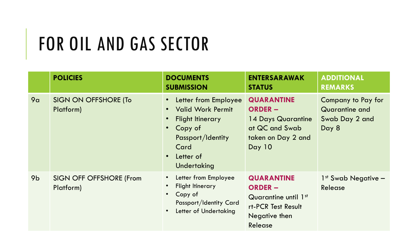# FOR OIL AND GAS SECTOR

|                | <b>POLICIES</b>                             | <b>DOCUMENTS</b><br><b>SUBMISSION</b>                                                                                                           | <b>ENTERSARAWAK</b><br><b>STATUS</b>                                                                          | <b>ADDITIONAL</b><br><b>REMARKS</b>                             |
|----------------|---------------------------------------------|-------------------------------------------------------------------------------------------------------------------------------------------------|---------------------------------------------------------------------------------------------------------------|-----------------------------------------------------------------|
| 9a             | SIGN ON OFFSHORE (To<br>Platform)           | Letter from Employee<br><b>Valid Work Permit</b><br><b>Flight Itinerary</b><br>Copy of<br>Passport/Identity<br>Card<br>Letter of<br>Undertaking | <b>QUARANTINE</b><br><b>ORDER –</b><br>14 Days Quarantine<br>at QC and Swab<br>taken on Day 2 and<br>Day 10   | Company to Pay for<br>Quarantine and<br>Swab Day 2 and<br>Day 8 |
| 9 <sub>b</sub> | <b>SIGN OFF OFFSHORE (From</b><br>Platform) | Letter from Employee<br><b>Flight Itinerary</b><br>Copy of<br>Passport/Identity Card<br>Letter of Undertaking                                   | <b>QUARANTINE</b><br><b>ORDER -</b><br>Quarantine until 1st<br>rt-PCR Test Result<br>Negative then<br>Release | $1st$ Swab Negative $-$<br>Release                              |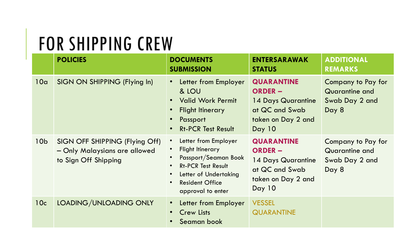### FOR SHIPPING CREW

|                 | <b>POLICIES</b>                                                                         | <b>DOCUMENTS</b><br><b>SUBMISSION</b>                                                                                                                                                                                                         | <b>ENTERSARAWAK</b><br><b>STATUS</b>                                                                        | ADDITIONAL<br><b>REMARKS</b>                                    |
|-----------------|-----------------------------------------------------------------------------------------|-----------------------------------------------------------------------------------------------------------------------------------------------------------------------------------------------------------------------------------------------|-------------------------------------------------------------------------------------------------------------|-----------------------------------------------------------------|
| 10a             | SIGN ON SHIPPING (Flying In)                                                            | Letter from Employer<br>$\bullet$<br>& LOU<br><b>Valid Work Permit</b><br>$\bullet$<br><b>Flight Itinerary</b><br>$\bullet$<br>Passport<br>$\bullet$<br><b>Rt-PCR Test Result</b><br>$\bullet$                                                | <b>QUARANTINE</b><br><b>ORDER -</b><br>14 Days Quarantine<br>at QC and Swab<br>taken on Day 2 and<br>Day 10 | Company to Pay for<br>Quarantine and<br>Swab Day 2 and<br>Day 8 |
| 10 <sub>b</sub> | SIGN OFF SHIPPING (Flying Off)<br>- Only Malaysians are allowed<br>to Sign Off Shipping | Letter from Employer<br>$\bullet$<br><b>Flight Itinerary</b><br>Passport/Seaman Book<br>$\bullet$<br><b>Rt-PCR Test Result</b><br>$\bullet$<br>Letter of Undertaking<br>$\bullet$<br><b>Resident Office</b><br>$\bullet$<br>approval to enter | <b>QUARANTINE</b><br><b>ORDER –</b><br>14 Days Quarantine<br>at QC and Swab<br>taken on Day 2 and<br>Day 10 | Company to Pay for<br>Quarantine and<br>Swab Day 2 and<br>Day 8 |
| 10c             | LOADING/UNLOADING ONLY                                                                  | Letter from Employer<br>$\bullet$<br><b>Crew Lists</b><br>$\bullet$<br>Seaman book                                                                                                                                                            | <b>VESSEL</b><br><b>QUARANTINE</b>                                                                          |                                                                 |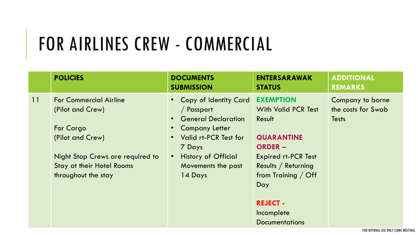# FOR AIRLINES CREW - COMMERCIAL

|    | <b>POLICIES</b>                                                                                                                                                                   | <b>DOCUMENTS</b><br><b>SUBMISSION</b>                                                                                                                                                          | <b>ENTERSARAWAK</b><br><b>STATUS</b>                                                                                                                                                                                | <b>ADDITIONAL</b><br><b>REMARKS</b>                    |
|----|-----------------------------------------------------------------------------------------------------------------------------------------------------------------------------------|------------------------------------------------------------------------------------------------------------------------------------------------------------------------------------------------|---------------------------------------------------------------------------------------------------------------------------------------------------------------------------------------------------------------------|--------------------------------------------------------|
| 11 | <b>For Commercial Airline</b><br>(Pilot and Crew)<br>For Cargo<br>(Pilot and Crew)<br>Night Stop Crews are required to<br><b>Stay at their Hotel Rooms</b><br>throughout the stay | • Copy of Identity Card<br>/ Passport<br><b>General Declaration</b><br><b>Company Letter</b><br>Valid rt-PCR Test for<br>7 Days<br><b>History of Official</b><br>Movements the past<br>14 Days | <b>EXEMPTION</b><br><b>With Valid PCR Test</b><br>Result<br><b>QUARANTINE</b><br><b>ORDER –</b><br><b>Expired rt-PCR Test</b><br>Results / Returning<br>from Training / Off<br>Day<br><b>REJECT -</b><br>Incomplete | Company to borne<br>the costs for Swab<br><b>Tests</b> |
|    |                                                                                                                                                                                   |                                                                                                                                                                                                | <b>Documentations</b>                                                                                                                                                                                               |                                                        |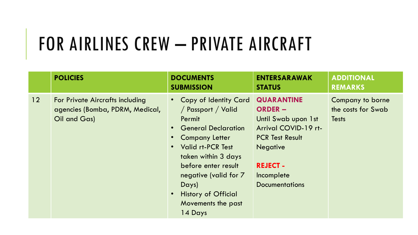# FOR AIRLINES CREW - PRIVATE AIRCRAFT

|                 | <b>POLICIES</b>                                                                    | <b>DOCUMENTS</b><br><b>SUBMISSION</b>                                                                                                                                                                                                                                                   | <b>ENTERSARAWAK</b><br><b>STATUS</b>                                                                                                                                                      | <b>ADDITIONAL</b><br><b>REMARKS</b>                    |
|-----------------|------------------------------------------------------------------------------------|-----------------------------------------------------------------------------------------------------------------------------------------------------------------------------------------------------------------------------------------------------------------------------------------|-------------------------------------------------------------------------------------------------------------------------------------------------------------------------------------------|--------------------------------------------------------|
| 12 <sup>°</sup> | For Private Aircrafts including<br>agencies (Bomba, PDRM, Medical,<br>Oil and Gas) | Copy of Identity Card<br>/ Passport / Valid<br>Permit<br><b>General Declaration</b><br><b>Company Letter</b><br><b>Valid rt-PCR Test</b><br>taken within 3 days<br>before enter result<br>negative (valid for 7<br>Days)<br><b>History of Official</b><br>Movements the past<br>14 Days | <b>QUARANTINE</b><br><b>ORDER –</b><br>Until Swab upon 1st<br>Arrival COVID-19 rt-<br><b>PCR Test Result</b><br><b>Negative</b><br><b>REJECT -</b><br>Incomplete<br><b>Documentations</b> | Company to borne<br>the costs for Swab<br><b>Tests</b> |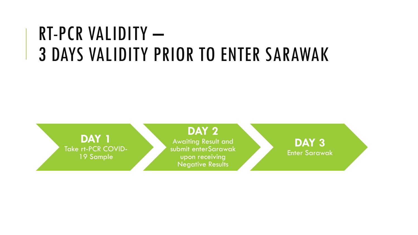## RT-PCR VALIDITY – 3 DAYS VALIDITY PRIOR TO ENTER SARAWAK